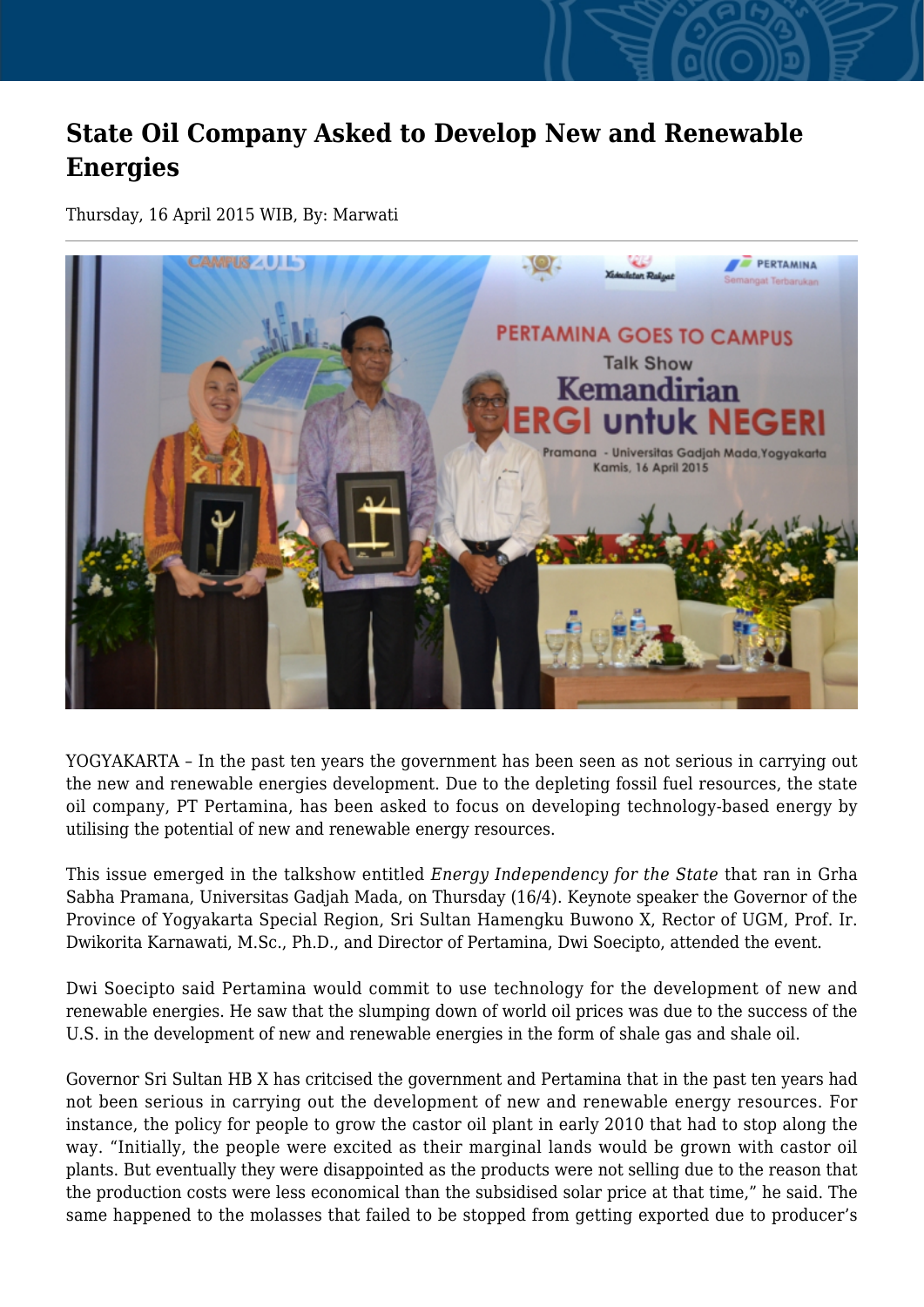## **State Oil Company Asked to Develop New and Renewable Energies**

Thursday, 16 April 2015 WIB, By: Marwati



YOGYAKARTA – In the past ten years the government has been seen as not serious in carrying out the new and renewable energies development. Due to the depleting fossil fuel resources, the state oil company, PT Pertamina, has been asked to focus on developing technology-based energy by utilising the potential of new and renewable energy resources.

This issue emerged in the talkshow entitled *Energy Independency for the State* that ran in Grha Sabha Pramana, Universitas Gadjah Mada, on Thursday (16/4). Keynote speaker the Governor of the Province of Yogyakarta Special Region, Sri Sultan Hamengku Buwono X, Rector of UGM, Prof. Ir. Dwikorita Karnawati, M.Sc., Ph.D., and Director of Pertamina, Dwi Soecipto, attended the event.

Dwi Soecipto said Pertamina would commit to use technology for the development of new and renewable energies. He saw that the slumping down of world oil prices was due to the success of the U.S. in the development of new and renewable energies in the form of shale gas and shale oil.

Governor Sri Sultan HB X has critcised the government and Pertamina that in the past ten years had not been serious in carrying out the development of new and renewable energy resources. For instance, the policy for people to grow the castor oil plant in early 2010 that had to stop along the way. "Initially, the people were excited as their marginal lands would be grown with castor oil plants. But eventually they were disappointed as the products were not selling due to the reason that the production costs were less economical than the subsidised solar price at that time," he said. The same happened to the molasses that failed to be stopped from getting exported due to producer's